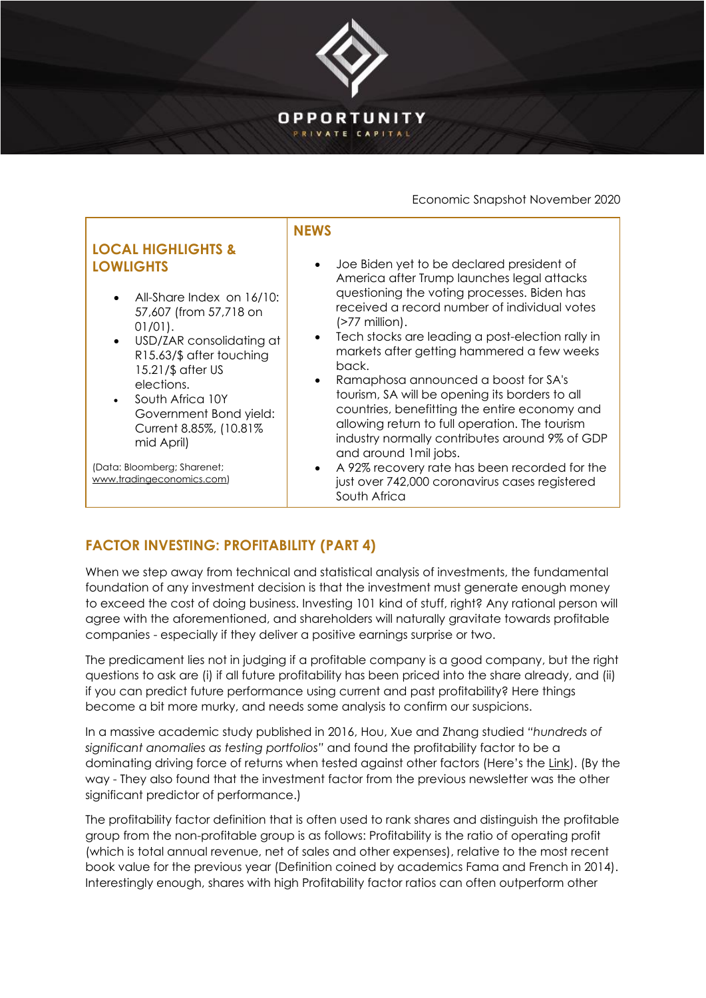

## Economic Snapshot November 2020

| <b>LOCAL HIGHLIGHTS &amp;</b><br><b>LOWLIGHTS</b><br>All-Share Index on 16/10:<br>$\bullet$<br>57,607 (from 57,718 on<br>$01/01$ ).<br>USD/ZAR consolidating at<br>$\bullet$<br>R15.63/\$ after touching<br>15.21/\$ after US<br>elections.<br>South Africa 10Y<br>$\bullet$<br>Government Bond yield:<br>Current 8.85%, (10.81%)<br>mid April) | <b>NEWS</b><br>Joe Biden yet to be declared president of<br>America after Trump launches legal attacks<br>questioning the voting processes. Biden has<br>received a record number of individual votes<br>$($ >77 million $).$<br>Tech stocks are leading a post-election rally in<br>markets after getting hammered a few weeks<br>back.<br>Ramaphosa announced a boost for SA's<br>$\bullet$<br>tourism, SA will be opening its borders to all<br>countries, benefitting the entire economy and<br>allowing return to full operation. The tourism<br>industry normally contributes around 9% of GDP<br>and around 1 mil jobs. |
|-------------------------------------------------------------------------------------------------------------------------------------------------------------------------------------------------------------------------------------------------------------------------------------------------------------------------------------------------|--------------------------------------------------------------------------------------------------------------------------------------------------------------------------------------------------------------------------------------------------------------------------------------------------------------------------------------------------------------------------------------------------------------------------------------------------------------------------------------------------------------------------------------------------------------------------------------------------------------------------------|
| (Data: Bloomberg; Sharenet;<br>www.tradingeconomics.com)                                                                                                                                                                                                                                                                                        | A 92% recovery rate has been recorded for the<br>just over 742,000 coronavirus cases registered<br>South Africa                                                                                                                                                                                                                                                                                                                                                                                                                                                                                                                |

## **FACTOR INVESTING: PROFITABILITY (PART 4)**

When we step away from technical and statistical analysis of investments, the fundamental foundation of any investment decision is that the investment must generate enough money to exceed the cost of doing business. Investing 101 kind of stuff, right? Any rational person will agree with the aforementioned, and shareholders will naturally gravitate towards profitable companies - especially if they deliver a positive earnings surprise or two.

The predicament lies not in judging if a profitable company is a good company, but the right questions to ask are (i) if all future profitability has been priced into the share already, and (ii) if you can predict future performance using current and past profitability? Here things become a bit more murky, and needs some analysis to confirm our suspicions.

In a massive academic study published in 2016, Hou, Xue and Zhang studied *"hundreds of significant anomalies as testing portfolios"* and found the profitability factor to be a dominating driving force of returns when tested against other factors (Here's the [Link\)](https://papers.ssrn.com/sol3/papers.cfm?abstract_id=2520929). (By the way - They also found that the investment factor from the previous newsletter was the other significant predictor of performance.)

The profitability factor definition that is often used to rank shares and distinguish the profitable group from the non-profitable group is as follows: Profitability is the ratio of operating profit (which is total annual revenue, net of sales and other expenses), relative to the most recent book value for the previous year (Definition coined by academics Fama and French in 2014). Interestingly enough, shares with high Profitability factor ratios can often outperform other